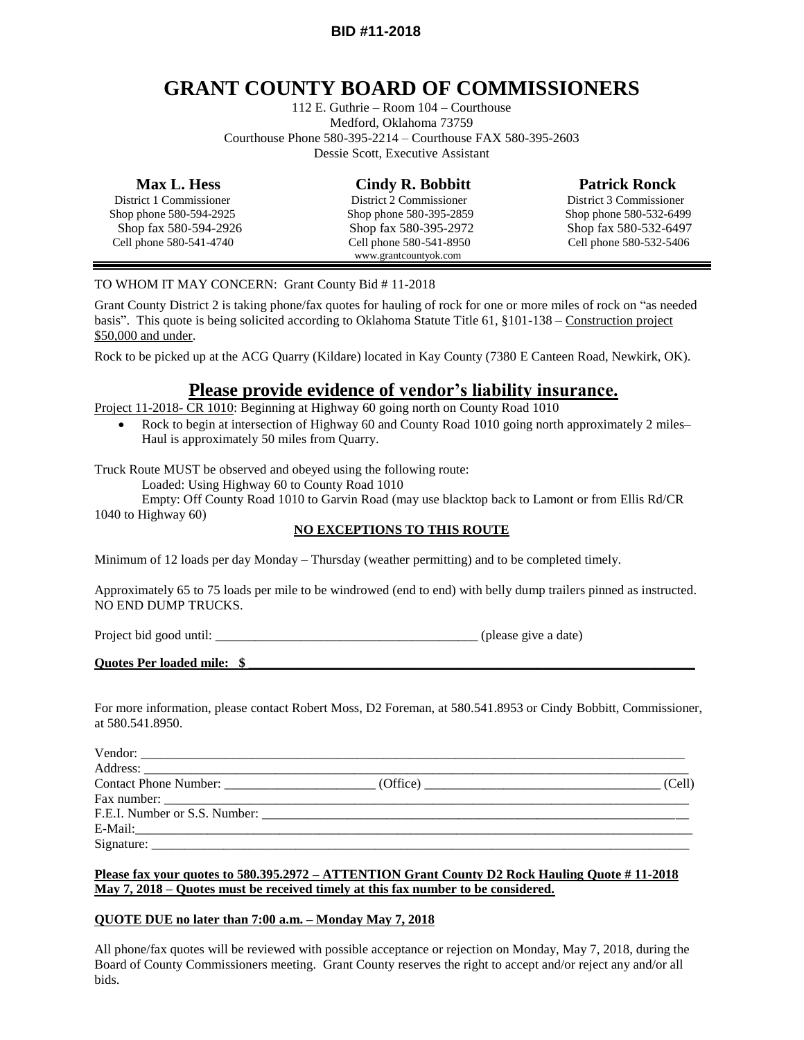### **BID #11-2018**

# **GRANT COUNTY BOARD OF COMMISSIONERS**

112 E. Guthrie – Room 104 – Courthouse Medford, Oklahoma 73759 Courthouse Phone 580-395-2214 – Courthouse FAX 580-395-2603 Dessie Scott, Executive Assistant

| <b>Max L. Hess</b>      | <b>Cindy R. Bobbitt</b> | <b>Patrick Ronck</b>    |
|-------------------------|-------------------------|-------------------------|
| District 1 Commissioner | District 2 Commissioner | District 3 Commissioner |
| Shop phone 580-594-2925 | Shop phone 580-395-2859 | Shop phone 580-532-6499 |
| Shop fax 580-594-2926   | Shop fax 580-395-2972   | Shop fax 580-532-6497   |
| Cell phone 580-541-4740 | Cell phone 580-541-8950 | Cell phone 580-532-5406 |
|                         | www.grantcountyok.com   |                         |

### TO WHOM IT MAY CONCERN: Grant County Bid # 11-2018

Grant County District 2 is taking phone/fax quotes for hauling of rock for one or more miles of rock on "as needed basis". This quote is being solicited according to Oklahoma Statute Title 61, §101-138 – Construction project \$50,000 and under.

Rock to be picked up at the ACG Quarry (Kildare) located in Kay County (7380 E Canteen Road, Newkirk, OK).

## **Please provide evidence of vendor's liability insurance.**

Project 11-2018- CR 1010: Beginning at Highway 60 going north on County Road 1010

• Rock to begin at intersection of Highway 60 and County Road 1010 going north approximately 2 miles– Haul is approximately 50 miles from Quarry.

Truck Route MUST be observed and obeyed using the following route:

Loaded: Using Highway 60 to County Road 1010

Empty: Off County Road 1010 to Garvin Road (may use blacktop back to Lamont or from Ellis Rd/CR 1040 to Highway 60)

### **NO EXCEPTIONS TO THIS ROUTE**

Minimum of 12 loads per day Monday – Thursday (weather permitting) and to be completed timely.

Approximately 65 to 75 loads per mile to be windrowed (end to end) with belly dump trailers pinned as instructed. NO END DUMP TRUCKS.

Project bid good until: \_\_\_\_\_\_\_\_\_\_\_\_\_\_\_\_\_\_\_\_\_\_\_\_\_\_\_\_\_\_\_\_\_\_\_\_\_\_\_\_ (please give a date)

#### **Quotes Per loaded mile: \$ \_\_\_\_\_\_\_\_\_\_\_\_\_\_\_\_\_\_\_\_\_\_\_\_\_\_\_\_\_\_\_\_\_\_\_\_\_\_\_\_\_\_\_\_\_\_\_\_\_\_\_\_\_\_\_\_\_\_\_\_\_\_\_\_\_\_\_\_**

For more information, please contact Robert Moss, D2 Foreman, at 580.541.8953 or Cindy Bobbitt, Commissioner, at 580.541.8950.

|            | (Cell) |
|------------|--------|
|            |        |
|            |        |
|            |        |
| Signature: |        |

#### **Please fax your quotes to 580.395.2972 – ATTENTION Grant County D2 Rock Hauling Quote # 11-2018 May 7, 2018 – Quotes must be received timely at this fax number to be considered.**

### **QUOTE DUE no later than 7:00 a.m. – Monday May 7, 2018**

All phone/fax quotes will be reviewed with possible acceptance or rejection on Monday, May 7, 2018, during the Board of County Commissioners meeting. Grant County reserves the right to accept and/or reject any and/or all bids.